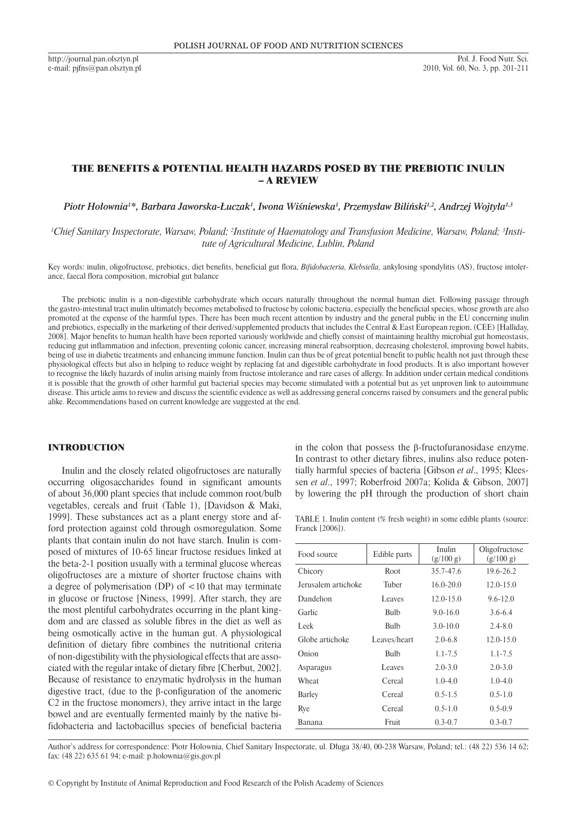http://journal.pan.olsztyn.pl e-mail: pjfns@pan.olsztyn.pl

# THE BENEFITS & POTENTIAL HEALTH HAZARDS POSED BY THE PREBIOTIC INULIN – A REVIEW

*Piotr Hołownia<sup>1</sup> \*, Barbara Jaworska-Łuczak<sup>1</sup> , Iwona Wiśniewska<sup>1</sup> , Przemysław Biliński1,2, Andrzej Wojtyła1,3*

<sup>1</sup>Chief Sanitary Inspectorate, Warsaw, Poland; <sup>2</sup>Institute of Haematology and Transfusion Medicine, Warsaw, Poland; <sup>3</sup>Insti*tute of Agricultural Medicine, Lublin, Poland*

Key words: inulin, oligofructose, prebiotics, diet benefits, beneficial gut flora, *Bifidobacteria, Klebsiella,* ankylosing spondylitis (AS), fructose intolerance, faecal flora composition, microbial gut balance

The prebiotic inulin is a non-digestible carbohydrate which occurs naturally throughout the normal human diet. Following passage through the gastro-intestinal tract inulin ultimately becomes metabolised to fructose by colonic bacteria, especially the beneficial species, whose growth are also promoted at the expense of the harmful types. There has been much recent attention by industry and the general public in the EU concerning inulin and prebiotics, especially in the marketing of their derived/supplemented products that includes the Central  $\&$  East European region, (CEE) [Halliday, 2008]. Major benefits to human health have been reported variously worldwide and chiefly consist of maintaining healthy microbial gut homeostasis, reducing gut inflammation and infection, preventing colonic cancer, increasing mineral reabsorption, decreasing cholesterol, improving bowel habits, being of use in diabetic treatments and enhancing immune function. Inulin can thus be of great potential benefit to public health not just through these physiological effects but also in helping to reduce weight by replacing fat and digestible carbohydrate in food products. It is also important however to recognise the likely hazards of inulin arising mainly from fructose intolerance and rare cases of allergy. In addition under certain medical conditions it is possible that the growth of other harmful gut bacterial species may become stimulated with a potential but as yet unproven link to autoimmune disease. This article aims to review and discuss the scientific evidence as well as addressing general concerns raised by consumers and the general public alike. Recommendations based on current knowledge are suggested at the end.

#### **INTRODUCTION**

Inulin and the closely related oligofructoses are naturally occurring oligosaccharides found in significant amounts of about 36,000 plant species that include common root/bulb vegetables, cereals and fruit (Table 1), [Davidson & Maki, 1999]. These substances act as a plant energy store and afford protection against cold through osmoregulation. Some plants that contain inulin do not have starch. Inulin is composed of mixtures of 10-65 linear fructose residues linked at the beta-2-1 position usually with a terminal glucose whereas oligofructoses are a mixture of shorter fructose chains with a degree of polymerisation (DP) of  $\lt$ 10 that may terminate in glucose or fructose [Niness, 1999]. After starch, they are the most plentiful carbohydrates occurring in the plant kingdom and are classed as soluble fibres in the diet as well as being osmotically active in the human gut. A physiological definition of dietary fibre combines the nutritional criteria of non-digestibility with the physiological effects that are associated with the regular intake of dietary fibre [Cherbut, 2002]. Because of resistance to enzymatic hydrolysis in the human digestive tract, (due to the β-configuration of the anomeric C2 in the fructose monomers), they arrive intact in the large bowel and are eventually fermented mainly by the native bifidobacteria and lactobacillus species of beneficial bacteria

in the colon that possess the β-fructofuranosidase enzyme. In contrast to other dietary fibres, inulins also reduce potentially harmful species of bacteria [Gibson *et al*., 1995; Kleessen *et al*., 1997; Roberfroid 2007a; Kolida & Gibson, 2007] by lowering the pH through the production of short chain

TABLE 1. Inulin content (% fresh weight) in some edible plants (source: Franck [2006]).

| Food source         | Edible parts | Inulin<br>(g/100 g) | Oligofructose<br>(g/100 g) |
|---------------------|--------------|---------------------|----------------------------|
| Chicory             | <b>Root</b>  | 35.7-47.6           | 19.6-26.2                  |
| Jerusalem artichoke | Tuber        | $16.0 - 20.0$       | $12.0 - 15.0$              |
| Dandelion           | Leaves       | $12.0 - 15.0$       | $9.6 - 12.0$               |
| Garlic              | Bulb         | $9.0 - 16.0$        | $3.6 - 6.4$                |
| Leek                | <b>Bulb</b>  | $3.0 - 10.0$        | $2.4 - 8.0$                |
| Globe artichoke     | Leaves/heart | $2.0 - 6.8$         | $12.0 - 15.0$              |
| Onion               | <b>Bulb</b>  | $1.1 - 7.5$         | $1.1 - 7.5$                |
| Asparagus           | Leaves       | $2.0 - 3.0$         | $2.0 - 3.0$                |
| Wheat               | Cereal       | $1.0 - 4.0$         | $1.0 - 4.0$                |
| <b>Barley</b>       | Cereal       | $0.5 - 1.5$         | $0.5 - 1.0$                |
| Rye                 | Cereal       | $0.5 - 1.0$         | $0.5 - 0.9$                |
| Banana              | Fruit        | $0.3 - 0.7$         | $0.3 - 0.7$                |

Author's address for correspondence: Piotr Holownia, Chief Sanitary Inspectorate, ul. Długa 38/40, 00-238 Warsaw, Poland; tel.: (48 22) 536 14 62; fax: (48 22) 635 61 94; e-mail: p.holownia@gis.gov.pl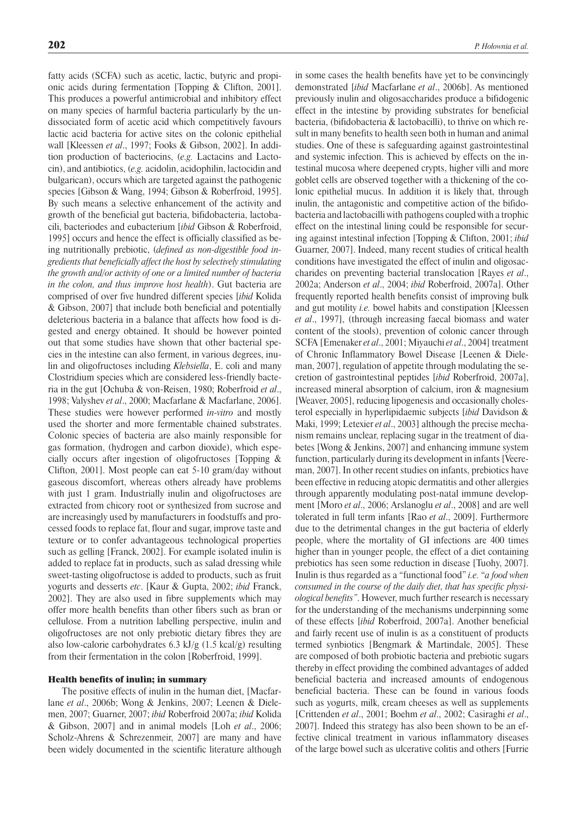fatty acids (SCFA) such as acetic, lactic, butyric and propionic acids during fermentation [Topping & Clifton, 2001]. This produces a powerful antimicrobial and inhibitory effect on many species of harmful bacteria particularly by the undissociated form of acetic acid which competitively favours lactic acid bacteria for active sites on the colonic epithelial wall [Kleessen *et al*., 1997; Fooks & Gibson, 2002]. In addition production of bacteriocins, (*e.g.* Lactacins and Lactocin), and antibiotics, (*e.g.* acidolin, acidophilin, lactocidin and bulgarican), occurs which are targeted against the pathogenic species [Gibson & Wang, 1994; Gibson & Roberfroid, 1995]. By such means a selective enhancement of the activity and growth of the beneficial gut bacteria, bifidobacteria, lactobacili, bacteriodes and eubacterium [*ibid* Gibson & Roberfroid, 1995] occurs and hence the effect is officially classified as being nutritionally prebiotic, (*defined as non-digestible food ingredients that beneficially affect the host by selectively stimulating the growth and/or activity of one or a limited number of bacteria in the colon, and thus improve host health*). Gut bacteria are comprised of over five hundred different species [*ibid* Kolida & Gibson, 2007] that include both beneficial and potentially deleterious bacteria in a balance that affects how food is digested and energy obtained. It should be however pointed out that some studies have shown that other bacterial species in the intestine can also ferment, in various degrees, inulin and oligofructoses including *Klebsiella*, E. coli and many Clostridium species which are considered less-friendly bacteria in the gut [Ochuba & von-Reisen, 1980; Roberfroid *et al*., 1998; Valyshev *et al*., 2000; Macfarlane & Macfarlane, 2006]. These studies were however performed *in-vitro* and mostly used the shorter and more fermentable chained substrates. Colonic species of bacteria are also mainly responsible for gas formation, (hydrogen and carbon dioxide), which especially occurs after ingestion of oligofructoses [Topping & Clifton, 2001]. Most people can eat 5-10 gram/day without gaseous discomfort, whereas others already have problems with just 1 gram. Industrially inulin and oligofructoses are extracted from chicory root or synthesized from sucrose and are increasingly used by manufacturers in foodstuffs and processed foods to replace fat, flour and sugar, improve taste and texture or to confer advantageous technological properties such as gelling [Franck, 2002]. For example isolated inulin is added to replace fat in products, such as salad dressing while sweet-tasting oligofructose is added to products, such as fruit yogurts and desserts *etc*. [Kaur & Gupta, 2002; *ibid* Franck, 2002]. They are also used in fibre supplements which may offer more health benefits than other fibers such as bran or cellulose. From a nutrition labelling perspective, inulin and oligofructoses are not only prebiotic dietary fibres they are also low-calorie carbohydrates 6.3 kJ/g (1.5 kcal/g) resulting from their fermentation in the colon [Roberfroid, 1999].

#### Health benefits of inulin; in summary

The positive effects of inulin in the human diet, [Macfarlane *et al*., 2006b; Wong & Jenkins, 2007; Leenen & Dielemen, 2007; Guarner, 2007; *ibid* Roberfroid 2007a; *ibid* Kolida & Gibson, 2007] and in animal models [Loh *et al*., 2006; Scholz-Ahrens & Schrezenmeir, 2007] are many and have been widely documented in the scientific literature although in some cases the health benefits have yet to be convincingly demonstrated [*ibid* Macfarlane *et al*., 2006b]. As mentioned previously inulin and oligosaccharides produce a bifidogenic effect in the intestine by providing substrates for beneficial bacteria, (bifidobacteria & lactobacilli), to thrive on which result in many benefits to health seen both in human and animal studies. One of these is safeguarding against gastrointestinal and systemic infection. This is achieved by effects on the intestinal mucosa where deepened crypts, higher villi and more goblet cells are observed together with a thickening of the colonic epithelial mucus. In addition it is likely that, through inulin, the antagonistic and competitive action of the bifidobacteria and lactobacilli with pathogens coupled with a trophic effect on the intestinal lining could be responsible for securing against intestinal infection [Topping & Clifton, 2001; *ibid*  Guarner, 2007]. Indeed, many recent studies of critical health conditions have investigated the effect of inulin and oligosaccharides on preventing bacterial translocation [Rayes *et al*., 2002a; Anderson *et al*., 2004; *ibid* Roberfroid, 2007a]. Other frequently reported health benefits consist of improving bulk and gut motility *i.e.* bowel habits and constipation [Kleessen *et al*., 1997], (through increasing faecal biomass and water content of the stools), prevention of colonic cancer through SCFA [Emenaker *et al*., 2001; Miyauchi *et al*., 2004] treatment of Chronic Inflammatory Bowel Disease [Leenen & Dieleman, 2007], regulation of appetite through modulating the secretion of gastrointestinal peptides [*ibid* Roberfroid, 2007a], increased mineral absorption of calcium, iron & magnesium [Weaver, 2005], reducing lipogenesis and occasionally cholesterol especially in hyperlipidaemic subjects [*ibid* Davidson & Maki, 1999; Letexier *et al*., 2003] although the precise mechanism remains unclear, replacing sugar in the treatment of diabetes [Wong & Jenkins, 2007] and enhancing immune system function, particularly during its development in infants [Veereman, 2007]. In other recent studies on infants, prebiotics have been effective in reducing atopic dermatitis and other allergies through apparently modulating post-natal immune development [Moro *et al*., 2006; Arslanoglu *et al*., 2008] and are well tolerated in full term infants [Rao *et al*., 2009]. Furthermore due to the detrimental changes in the gut bacteria of elderly people, where the mortality of GI infections are 400 times higher than in younger people, the effect of a diet containing prebiotics has seen some reduction in disease [Tuohy, 2007]. Inulin is thus regarded as a "functional food" *i.e.* "*a food when consumed in the course of the daily diet, that has specific physiological benefits"*. However, much further research is necessary for the understanding of the mechanisms underpinning some of these effects [*ibid* Roberfroid, 2007a]. Another beneficial and fairly recent use of inulin is as a constituent of products termed synbiotics [Bengmark & Martindale, 2005]. These are composed of both probiotic bacteria and prebiotic sugars thereby in effect providing the combined advantages of added beneficial bacteria and increased amounts of endogenous beneficial bacteria. These can be found in various foods such as yogurts, milk, cream cheeses as well as supplements [Crittenden *et al*., 2001; Boehm *et al*., 2002; Casiraghi *et al*., 2007]. Indeed this strategy has also been shown to be an effective clinical treatment in various inflammatory diseases of the large bowel such as ulcerative colitis and others [Furrie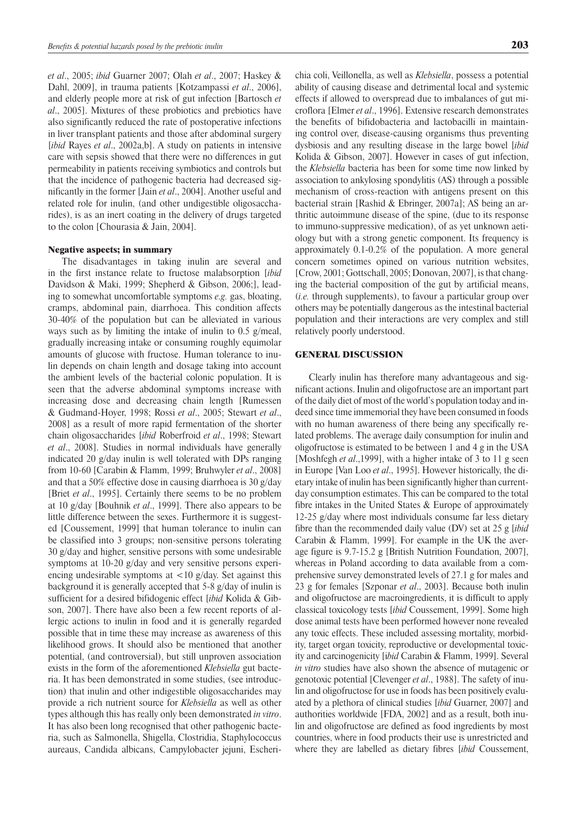*et al*., 2005; *ibid* Guarner 2007; Olah *et al*., 2007; Haskey & Dahl, 2009], in trauma patients [Kotzampassi *et al*., 2006], and elderly people more at risk of gut infection [Bartosch *et al*., 2005]. Mixtures of these probiotics and prebiotics have also significantly reduced the rate of postoperative infections in liver transplant patients and those after abdominal surgery [*ibid* Rayes *et al*., 2002a,b]. A study on patients in intensive care with sepsis showed that there were no differences in gut permeability in patients receiving symbiotics and controls but that the incidence of pathogenic bacteria had decreased significantly in the former [Jain *et al*., 2004]. Another useful and related role for inulin, (and other undigestible oligosaccharides), is as an inert coating in the delivery of drugs targeted to the colon [Chourasia & Jain, 2004].

# Negative aspects; in summary

The disadvantages in taking inulin are several and in the first instance relate to fructose malabsorption [*ibid*  Davidson & Maki, 1999; Shepherd & Gibson, 2006;], leading to somewhat uncomfortable symptoms *e.g.* gas, bloating, cramps, abdominal pain, diarrhoea. This condition affects 30-40% of the population but can be alleviated in various ways such as by limiting the intake of inulin to 0.5 g/meal, gradually increasing intake or consuming roughly equimolar amounts of glucose with fructose. Human tolerance to inulin depends on chain length and dosage taking into account the ambient levels of the bacterial colonic population. It is seen that the adverse abdominal symptoms increase with increasing dose and decreasing chain length [Rumessen & Gudmand-Hoyer, 1998; Rossi *et al*., 2005; Stewart *et al*., 2008] as a result of more rapid fermentation of the shorter chain oligosaccharides [*ibid* Roberfroid *et al*., 1998; Stewart *et al*., 2008]. Studies in normal individuals have generally indicated 20 g/day inulin is well tolerated with DPs ranging from 10-60 [Carabin & Flamm, 1999; Bruhwyler *et al*., 2008] and that a 50% effective dose in causing diarrhoea is 30 g/day [Briet *et al*., 1995]. Certainly there seems to be no problem at 10 g/day [Bouhnik *et al*., 1999]. There also appears to be little difference between the sexes. Furthermore it is suggested [Coussement, 1999] that human tolerance to inulin can be classified into 3 groups; non-sensitive persons tolerating 30 g/day and higher, sensitive persons with some undesirable symptoms at 10-20 g/day and very sensitive persons experiencing undesirable symptoms at  $\langle 10 \text{ g}/\text{day} \rangle$ . Set against this background it is generally accepted that 5-8 g/day of inulin is sufficient for a desired bifidogenic effect [*ibid* Kolida & Gibson, 2007]. There have also been a few recent reports of allergic actions to inulin in food and it is generally regarded possible that in time these may increase as awareness of this likelihood grows. It should also be mentioned that another potential, (and controversial), but still unproven association exists in the form of the aforementioned *Klebsiella* gut bacteria. It has been demonstrated in some studies, (see introduction) that inulin and other indigestible oligosaccharides may provide a rich nutrient source for *Klebsiella* as well as other types although this has really only been demonstrated *in vitro*. It has also been long recognised that other pathogenic bacteria, such as Salmonella, Shigella, Clostridia, Staphylococcus aureaus, Candida albicans, Campylobacter jejuni, Escherichia coli, Veillonella, as well as *Klebsiella*, possess a potential ability of causing disease and detrimental local and systemic effects if allowed to overspread due to imbalances of gut microflora [Elmer *et al*., 1996]. Extensive research demonstrates the benefits of bifidobacteria and lactobacilli in maintaining control over, disease-causing organisms thus preventing dysbiosis and any resulting disease in the large bowel [*ibid* Kolida & Gibson, 2007]. However in cases of gut infection, the *Klebsiella* bacteria has been for some time now linked by association to ankylosing spondylitis (AS) through a possible mechanism of cross-reaction with antigens present on this bacterial strain [Rashid & Ebringer, 2007a]; AS being an arthritic autoimmune disease of the spine, (due to its response to immuno-suppressive medication), of as yet unknown aetiology but with a strong genetic component. Its frequency is approximately 0.1-0.2% of the population. A more general concern sometimes opined on various nutrition websites, [Crow, 2001; Gottschall, 2005; Donovan, 2007], is that changing the bacterial composition of the gut by artificial means, (*i.e.* through supplements), to favour a particular group over others may be potentially dangerous as the intestinal bacterial population and their interactions are very complex and still relatively poorly understood.

## General discussion

Clearly inulin has therefore many advantageous and significant actions. Inulin and oligofructose are an important part of the daily diet of most of the world's population today and indeed since time immemorial they have been consumed in foods with no human awareness of there being any specifically related problems. The average daily consumption for inulin and oligofructose is estimated to be between 1 and 4 g in the USA [Moshfegh *et al*.,1999], with a higher intake of 3 to 11 g seen in Europe [Van Loo *et al*., 1995]. However historically, the dietary intake of inulin has been significantly higher than currentday consumption estimates. This can be compared to the total fibre intakes in the United States & Europe of approximately 12-25 g/day where most individuals consume far less dietary fibre than the recommended daily value (DV) set at 25 g [*ibid* Carabin & Flamm, 1999]. For example in the UK the average figure is 9.7-15.2 g [British Nutrition Foundation, 2007], whereas in Poland according to data available from a comprehensive survey demonstrated levels of 27.1 g for males and 23 g for females [Szponar *et al*., 2003]. Because both inulin and oligofructose are macroingredients, it is difficult to apply classical toxicology tests [*ibid* Coussement, 1999]. Some high dose animal tests have been performed however none revealed any toxic effects. These included assessing mortality, morbidity, target organ toxicity, reproductive or developmental toxicity and carcinogenicity [i*bid* Carabin & Flamm, 1999]. Several *in vitro* studies have also shown the absence of mutagenic or genotoxic potential [Clevenger *et al*., 1988]. The safety of inulin and oligofructose for use in foods has been positively evaluated by a plethora of clinical studies [*ibid* Guarner, 2007] and authorities worldwide [FDA, 2002] and as a result, both inulin and oligofructose are defined as food ingredients by most countries, where in food products their use is unrestricted and where they are labelled as dietary fibres [*ibid* Coussement,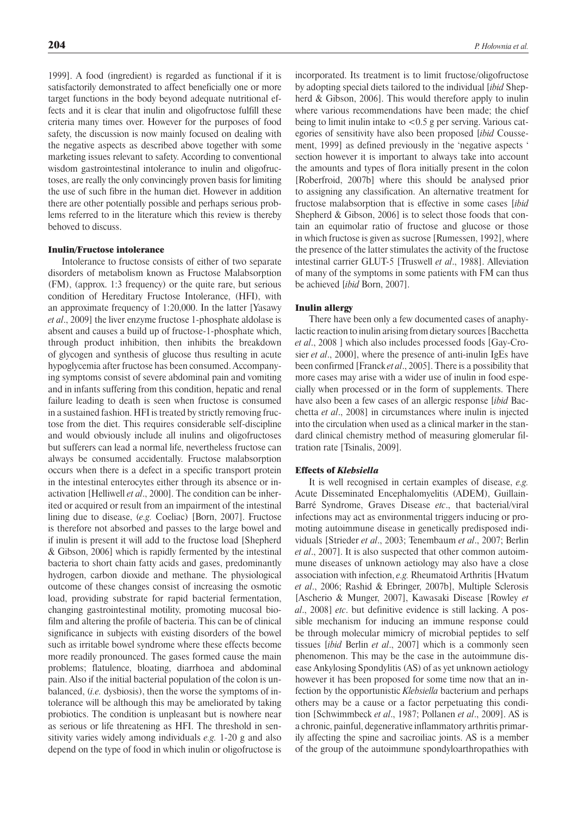1999]. A food (ingredient) is regarded as functional if it is satisfactorily demonstrated to affect beneficially one or more target functions in the body beyond adequate nutritional effects and it is clear that inulin and oligofructose fulfill these criteria many times over. However for the purposes of food safety, the discussion is now mainly focused on dealing with the negative aspects as described above together with some marketing issues relevant to safety. According to conventional wisdom gastrointestinal intolerance to inulin and oligofructoses, are really the only convincingly proven basis for limiting the use of such fibre in the human diet. However in addition there are other potentially possible and perhaps serious problems referred to in the literature which this review is thereby behoved to discuss.

# Inulin/Fructose intolerance

Intolerance to fructose consists of either of two separate disorders of metabolism known as Fructose Malabsorption (FM), (approx. 1:3 frequency) or the quite rare, but serious condition of Hereditary Fructose Intolerance, (HFI), with an approximate frequency of 1:20,000. In the latter [Yasawy *et al*., 2009] the liver enzyme fructose 1-phosphate aldolase is absent and causes a build up of fructose-1-phosphate which, through product inhibition, then inhibits the breakdown of glycogen and synthesis of glucose thus resulting in acute hypoglycemia after fructose has been consumed. Accompanying symptoms consist of severe abdominal pain and vomiting and in infants suffering from this condition, hepatic and renal failure leading to death is seen when fructose is consumed in a sustained fashion. HFI is treated by strictly removing fructose from the diet. This requires considerable self-discipline and would obviously include all inulins and oligofructoses but sufferers can lead a normal life, nevertheless fructose can always be consumed accidentally. Fructose malabsorption occurs when there is a defect in a specific transport protein in the intestinal enterocytes either through its absence or inactivation [Helliwell *et al*., 2000]. The condition can be inherited or acquired or result from an impairment of the intestinal lining due to disease, (*e.g.* Coeliac) [Born, 2007]. Fructose is therefore not absorbed and passes to the large bowel and if inulin is present it will add to the fructose load [Shepherd & Gibson, 2006] which is rapidly fermented by the intestinal bacteria to short chain fatty acids and gases, predominantly hydrogen, carbon dioxide and methane. The physiological outcome of these changes consist of increasing the osmotic load, providing substrate for rapid bacterial fermentation, changing gastrointestinal motility, promoting mucosal biofilm and altering the profile of bacteria. This can be of clinical significance in subjects with existing disorders of the bowel such as irritable bowel syndrome where these effects become more readily pronounced. The gases formed cause the main problems; flatulence, bloating, diarrhoea and abdominal pain. Also if the initial bacterial population of the colon is unbalanced, (*i.e.* dysbiosis), then the worse the symptoms of intolerance will be although this may be ameliorated by taking probiotics. The condition is unpleasant but is nowhere near as serious or life threatening as HFI. The threshold in sensitivity varies widely among individuals *e.g.* 1-20 g and also depend on the type of food in which inulin or oligofructose is

incorporated. Its treatment is to limit fructose/oligofructose by adopting special diets tailored to the individual [*ibid* Shepherd & Gibson, 2006]. This would therefore apply to inulin where various recommendations have been made; the chief being to limit inulin intake to <0.5 g per serving. Various categories of sensitivity have also been proposed [*ibid* Coussement, 1999] as defined previously in the 'negative aspects ' section however it is important to always take into account the amounts and types of flora initially present in the colon [Roberfroid, 2007b] where this should be analysed prior to assigning any classification. An alternative treatment for fructose malabsorption that is effective in some cases [*ibid* Shepherd & Gibson, 2006] is to select those foods that contain an equimolar ratio of fructose and glucose or those in which fructose is given as sucrose [Rumessen, 1992], where the presence of the latter stimulates the activity of the fructose intestinal carrier GLUT-5 [Truswell *et al*., 1988]. Alleviation of many of the symptoms in some patients with FM can thus be achieved [*ibid* Born, 2007].

#### Inulin allergy

There have been only a few documented cases of anaphylactic reaction to inulin arising from dietary sources [Bacchetta *et al*., 2008 ] which also includes processed foods [Gay-Crosier *et al*., 2000], where the presence of anti-inulin IgEs have been confirmed [Franck *et al*., 2005]. There is a possibility that more cases may arise with a wider use of inulin in food especially when processed or in the form of supplements. There have also been a few cases of an allergic response [*ibid* Bacchetta *et al*., 2008] in circumstances where inulin is injected into the circulation when used as a clinical marker in the standard clinical chemistry method of measuring glomerular filtration rate [Tsinalis, 2009].

## Effects of *Klebsiella*

It is well recognised in certain examples of disease, *e.g.* Acute Disseminated Encephalomyelitis (ADEM), Guillain-Barré Syndrome, Graves Disease *etc*., that bacterial/viral infections may act as environmental triggers inducing or promoting autoimmune disease in genetically predisposed individuals [Strieder *et al*., 2003; Tenembaum *et al*., 2007; Berlin *et al*., 2007]. It is also suspected that other common autoimmune diseases of unknown aetiology may also have a close association with infection, *e.g.* Rheumatoid Arthritis [Hvatum *et al*., 2006; Rashid & Ebringer, 2007b], Multiple Sclerosis [Ascherio & Munger, 2007], Kawasaki Disease [Rowley *et al*., 2008] *etc*. but definitive evidence is still lacking. A possible mechanism for inducing an immune response could be through molecular mimicry of microbial peptides to self tissues [*ibid* Berlin *et al*., 2007] which is a commonly seen phenomenon. This may be the case in the autoimmune disease Ankylosing Spondylitis (AS) of as yet unknown aetiology however it has been proposed for some time now that an infection by the opportunistic *Klebsiella* bacterium and perhaps others may be a cause or a factor perpetuating this condition [Schwimmbeck *et al*., 1987; Pollanen *et al*., 2009]. AS is a chronic, painful, degenerative inflammatory arthritis primarily affecting the spine and sacroiliac joints. AS is a member of the group of the autoimmune spondyloarthropathies with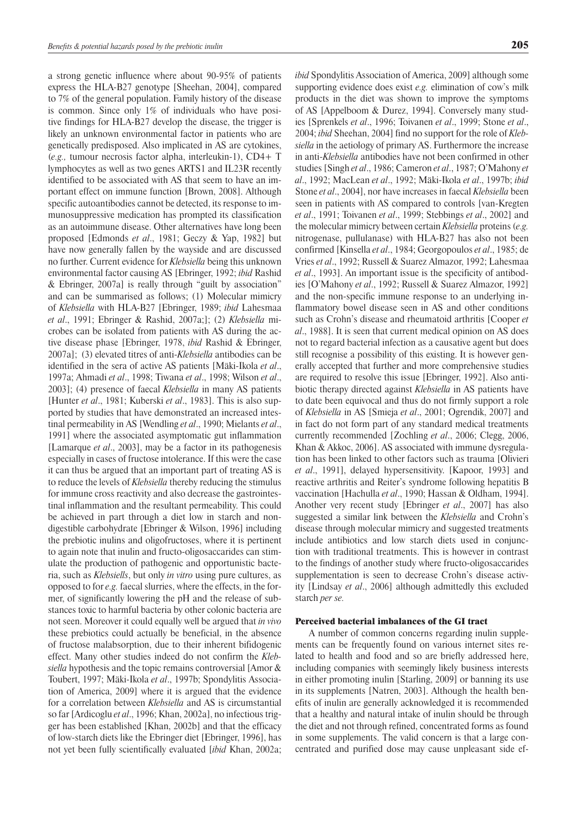a strong genetic influence where about 90-95% of patients express the HLA-B27 genotype [Sheehan, 2004], compared to 7% of the general population. Family history of the disease is common. Since only 1% of individuals who have positive findings for HLA-B27 develop the disease, the trigger is likely an unknown environmental factor in patients who are genetically predisposed. Also implicated in AS are cytokines, (*e.g.,* tumour necrosis factor alpha, interleukin-1), CD4+ T lymphocytes as well as two genes ARTS1 and IL23R recently identified to be associated with AS that seem to have an important effect on immune function [Brown, 2008]. Although specific autoantibodies cannot be detected, its response to immunosuppressive medication has prompted its classification as an autoimmune disease. Other alternatives have long been proposed [Edmonds *et al*., 1981; Geczy & Yap, 1982] but have now generally fallen by the wayside and are discussed no further. Current evidence for *Klebsiella* being this unknown environmental factor causing AS [Ebringer, 1992; *ibid* Rashid & Ebringer, 2007a] is really through "guilt by association" and can be summarised as follows; (1) Molecular mimicry of *Klebsiella* with HLA-B27 [Ebringer, 1989; *ibid* Lahesmaa *et al*., 1991; Ebringer & Rashid, 2007a;]; (2) *Klebsiella* microbes can be isolated from patients with AS during the active disease phase [Ebringer, 1978, *ibid* Rashid & Ebringer, 2007a]; (3) elevated titres of anti-*Klebsiella* antibodies can be identified in the sera of active AS patients [Mäki-Ikola *et al*., 1997a; Ahmadi *et al*., 1998; Tiwana *et al*., 1998; Wilson *et al*., 2003]; (4) presence of faecal *Klebsiella* in many AS patients [Hunter *et al*., 1981; Kuberski *et al*., 1983]. This is also supported by studies that have demonstrated an increased intestinal permeability in AS [Wendling *et al*., 1990; Mielants *et al*., 1991] where the associated asymptomatic gut inflammation [Lamarque *et al*., 2003], may be a factor in its pathogenesis especially in cases of fructose intolerance. If this were the case it can thus be argued that an important part of treating AS is to reduce the levels of *Klebsiella* thereby reducing the stimulus for immune cross reactivity and also decrease the gastrointestinal inflammation and the resultant permeability. This could be achieved in part through a diet low in starch and nondigestible carbohydrate [Ebringer & Wilson, 1996] including the prebiotic inulins and oligofructoses, where it is pertinent to again note that inulin and fructo-oligosaccarides can stimulate the production of pathogenic and opportunistic bacteria, such as *Klebsiells*, but only *in vitro* using pure cultures, as opposed to for *e.g.* faecal slurries, where the effects, in the former, of significantly lowering the pH and the release of substances toxic to harmful bacteria by other colonic bacteria are not seen. Moreover it could equally well be argued that *in vivo* these prebiotics could actually be beneficial, in the absence of fructose malabsorption, due to their inherent bifidogenic effect. Many other studies indeed do not confirm the *Klebsiella* hypothesis and the topic remains controversial [Amor & Toubert, 1997; Mäki-Ikola *et al*., 1997b; Spondylitis Association of America, 2009] where it is argued that the evidence for a correlation between *Klebsiella* and AS is circumstantial so far [Ardicoglu *et al*., 1996; Khan, 2002a], no infectious trigger has been established [Khan, 2002b] and that the efficacy of low-starch diets like the Ebringer diet [Ebringer, 1996], has not yet been fully scientifically evaluated [*ibid* Khan, 2002a;

*ibid* Spondylitis Association of America, 2009] although some supporting evidence does exist *e.g.* elimination of cow's milk products in the diet was shown to improve the symptoms of AS [Appelboom & Durez, 1994]. Conversely many studies [Sprenkels *et al*., 1996; Toivanen *et al*., 1999; Stone *et al*., 2004; *ibid* Sheehan, 2004] find no support for the role of *Klebsiella* in the aetiology of primary AS. Furthermore the increase in anti-*Klebsiella* antibodies have not been confirmed in other studies [Singh *et al*., 1986; Cameron *et al*., 1987; O'Mahony *et al*., 1992; MacLean *et al*., 1992; Mäki-Ikola *et al*., 1997b; *ibid* Stone *et al*., 2004], nor have increases in faecal *Klebsiella* been seen in patients with AS compared to controls [van-Kregten *et al*., 1991; Toivanen *et al*., 1999; Stebbings *et al*., 2002] and the molecular mimicry between certain *Klebsiella* proteins (*e.g.* nitrogenase, pullulanase) with HLA-B27 has also not been confirmed [Kinsella *et al*., 1984; Georgopoulos *et al*., 1985; de Vries *et al*., 1992; Russell & Suarez Almazor, 1992; Lahesmaa *et al*., 1993]. An important issue is the specificity of antibodies [O'Mahony *et al*., 1992; Russell & Suarez Almazor, 1992] and the non-specific immune response to an underlying inflammatory bowel disease seen in AS and other conditions such as Crohn's disease and rheumatoid arthritis [Cooper *et al*., 1988]. It is seen that current medical opinion on AS does not to regard bacterial infection as a causative agent but does still recognise a possibility of this existing. It is however generally accepted that further and more comprehensive studies are required to resolve this issue [Ebringer, 1992]. Also antibiotic therapy directed against *Klebsiella* in AS patients have to date been equivocal and thus do not firmly support a role of *Klebsiella* in AS [Smieja *et al*., 2001; Ogrendik, 2007] and in fact do not form part of any standard medical treatments currently recommended [Zochling *et al*., 2006; Clegg, 2006, Khan & Akkoc, 2006]. AS associated with immune dysregulation has been linked to other factors such as trauma [Olivieri *et al*., 1991], delayed hypersensitivity. [Kapoor, 1993] and reactive arthritis and Reiter's syndrome following hepatitis B vaccination [Hachulla *et al*., 1990; Hassan & Oldham, 1994]. Another very recent study [Ebringer *et al*., 2007] has also suggested a similar link between the *Klebsiella* and Crohn's disease through molecular mimicry and suggested treatments include antibiotics and low starch diets used in conjunction with traditional treatments. This is however in contrast to the findings of another study where fructo-oligosaccarides supplementation is seen to decrease Crohn's disease activity [Lindsay *et al*., 2006] although admittedly this excluded starch *per se.*

## Perceived bacterial imbalances of the GI tract

A number of common concerns regarding inulin supplements can be frequently found on various internet sites related to health and food and so are briefly addressed here, including companies with seemingly likely business interests in either promoting inulin [Starling, 2009] or banning its use in its supplements [Natren, 2003]. Although the health benefits of inulin are generally acknowledged it is recommended that a healthy and natural intake of inulin should be through the diet and not through refined, concentrated forms as found in some supplements. The valid concern is that a large concentrated and purified dose may cause unpleasant side ef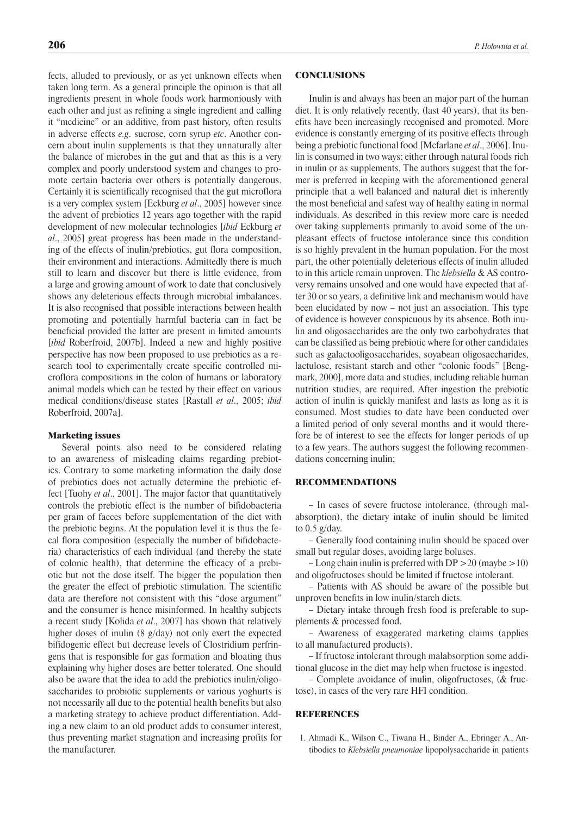fects, alluded to previously, or as yet unknown effects when taken long term. As a general principle the opinion is that all ingredients present in whole foods work harmoniously with each other and just as refining a single ingredient and calling it "medicine" or an additive, from past history, often results in adverse effects *e.g*. sucrose, corn syrup *etc*. Another concern about inulin supplements is that they unnaturally alter the balance of microbes in the gut and that as this is a very complex and poorly understood system and changes to promote certain bacteria over others is potentially dangerous. Certainly it is scientifically recognised that the gut microflora is a very complex system [Eckburg *et al*., 2005] however since the advent of prebiotics 12 years ago together with the rapid development of new molecular technologies [*ibid* Eckburg *et al*., 2005] great progress has been made in the understanding of the effects of inulin/prebiotics, gut flora composition, their environment and interactions. Admittedly there is much still to learn and discover but there is little evidence, from a large and growing amount of work to date that conclusively shows any deleterious effects through microbial imbalances. It is also recognised that possible interactions between health promoting and potentially harmful bacteria can in fact be beneficial provided the latter are present in limited amounts [*ibid* Roberfroid, 2007b]. Indeed a new and highly positive perspective has now been proposed to use prebiotics as a research tool to experimentally create specific controlled microflora compositions in the colon of humans or laboratory animal models which can be tested by their effect on various medical conditions/disease states [Rastall *et al*., 2005; *ibid* Roberfroid, 2007a].

#### Marketing issues

Several points also need to be considered relating to an awareness of misleading claims regarding prebiotics. Contrary to some marketing information the daily dose of prebiotics does not actually determine the prebiotic effect [Tuohy *et al*., 2001]. The major factor that quantitatively controls the prebiotic effect is the number of bifidobacteria per gram of faeces before supplementation of the diet with the prebiotic begins. At the population level it is thus the fecal flora composition (especially the number of bifidobacteria) characteristics of each individual (and thereby the state of colonic health), that determine the efficacy of a prebiotic but not the dose itself. The bigger the population then the greater the effect of prebiotic stimulation. The scientific data are therefore not consistent with this "dose argument" and the consumer is hence misinformed. In healthy subjects a recent study [Kolida *et al*., 2007] has shown that relatively higher doses of inulin (8 g/day) not only exert the expected bifidogenic effect but decrease levels of Clostridium perfringens that is responsible for gas formation and bloating thus explaining why higher doses are better tolerated. One should also be aware that the idea to add the prebiotics inulin/oligosaccharides to probiotic supplements or various yoghurts is not necessarily all due to the potential health benefits but also a marketing strategy to achieve product differentiation. Adding a new claim to an old product adds to consumer interest, thus preventing market stagnation and increasing profits for the manufacturer.

## **CONCLUSIONS**

Inulin is and always has been an major part of the human diet. It is only relatively recently, (last 40 years), that its benefits have been increasingly recognised and promoted. More evidence is constantly emerging of its positive effects through being a prebiotic functional food [Mcfarlane *et al*., 2006]. Inulin is consumed in two ways; either through natural foods rich in inulin or as supplements. The authors suggest that the former is preferred in keeping with the aforementioned general principle that a well balanced and natural diet is inherently the most beneficial and safest way of healthy eating in normal individuals. As described in this review more care is needed over taking supplements primarily to avoid some of the unpleasant effects of fructose intolerance since this condition is so highly prevalent in the human population. For the most part, the other potentially deleterious effects of inulin alluded to in this article remain unproven. The *klebsiella* & AS controversy remains unsolved and one would have expected that after 30 or so years, a definitive link and mechanism would have been elucidated by now – not just an association. This type of evidence is however conspicuous by its absence. Both inulin and oligosaccharides are the only two carbohydrates that can be classified as being prebiotic where for other candidates such as galactooligosaccharides, soyabean oligosaccharides, lactulose, resistant starch and other "colonic foods" [Bengmark, 2000], more data and studies, including reliable human nutrition studies, are required. After ingestion the prebiotic action of inulin is quickly manifest and lasts as long as it is consumed. Most studies to date have been conducted over a limited period of only several months and it would therefore be of interest to see the effects for longer periods of up to a few years. The authors suggest the following recommendations concerning inulin;

### Recommendations

– In cases of severe fructose intolerance, (through malabsorption), the dietary intake of inulin should be limited to 0.5 g/day.

– Generally food containing inulin should be spaced over small but regular doses, avoiding large boluses.

– Long chain inulin is preferred with  $DP > 20$  (maybe  $>10$ ) and oligofructoses should be limited if fructose intolerant.

– Patients with AS should be aware of the possible but unproven benefits in low inulin/starch diets.

– Dietary intake through fresh food is preferable to supplements & processed food.

– Awareness of exaggerated marketing claims (applies to all manufactured products).

– If fructose intolerant through malabsorption some additional glucose in the diet may help when fructose is ingested.

– Complete avoidance of inulin, oligofructoses, (& fructose), in cases of the very rare HFI condition.

## **REFERENCES**

1. Ahmadi K., Wilson C., Tiwana H., Binder A., Ebringer A., Antibodies to *Klebsiella pneumoniae* lipopolysaccharide in patients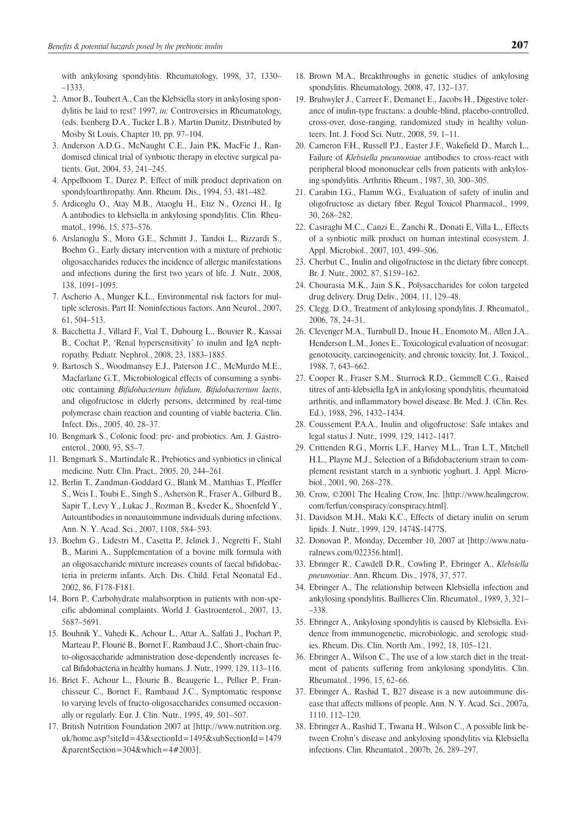- 2. Amor B., Toubert A., Can the Klebsiella story in ankylosing spondylitis be laid to rest? 1997, *in:* Controversies in Rheumatology, (eds. Isenberg D.A., Tucker L.B.). Martin Dunitz, Distributed by Mosby St Louis, Chapter 10, pp. 97–104.
- 3. Anderson A.D.G., McNaught C.E., Jain P.K, MacFie J., Randomised clinical trial of synbiotic therapy in elective surgical patients. Gut, 2004, 53, 241–245.
- 4. Appelboom T., Durez P., Effect of milk product deprivation on spondyloarthropathy. Ann. Rheum. Dis., 1994, 53, 481–482.
- 5. Ardicoglu O., Atay M.B., Ataoglu H., Etiz N., Ozenci H., Ig A antibodies to klebsiella in ankylosing spondylitis. Clin. Rheumatol., 1996, 15, 573–576.
- 6. Arslanoglu S., Moro G.E., Schmitt J., Tandoi L., Rizzardi S., Boehm G., Early dietary intervention with a mixture of prebiotic oligosaccharides reduces the incidence of allergic manifestations and infections during the first two years of life. J. Nutr., 2008, 138, 1091–1095.
- 7. Ascherio A., Munger K.L., Environmental risk factors for multiple sclerosis. Part II: Noninfectious factors. Ann Neurol., 2007, 61, 504–513.
- 8. Bacchetta J., Villard F., Vial T., Dubourg L., Bouvier R., Kassai B., Cochat P., 'Renal hypersensitivity' to inulin and IgA nephropathy. Pediatr. Nephrol., 2008, 23, 1883–1885.
- 9. Bartosch S., Woodmansey E.J., Paterson J.C., McMurdo M.E., Macfarlane G.T., Microbiological effects of consuming a synbiotic containing *Bifidobacterium bifidum, Bifidobacterium lactis*, and oligofructose in elderly persons, determined by real-time polymerase chain reaction and counting of viable bacteria. Clin. Infect. Dis., 2005, 40, 28–37.
- 10. Bengmark S., Colonic food: pre- and probiotics. Am. J. Gastroenterol., 2000, 95, S5–7.
- 11. Bengmark S., Martindale R., Prebiotics and synbiotics in clinical medicine. Nutr. Clin. Pract., 2005, 20, 244–261.
- 12. Berlin T., Zandman-Goddard G., Blank M., Matthias T., Pfeiffer S., Weis I., Toubi E., Singh S., Asherson R., Fraser A., Gilburd B., Sapir T., Levy Y., Lukac J., Rozman B., Kveder K., Shoenfeld Y., Autoantibodies in nonautoimmune individuals during infections. Ann. N. Y. Acad. Sci., 2007, 1108, 584–593.
- 13. Boehm G., Lidestri M., Casetta P., Jelinek J., Negretti F., Stahl B., Marini A., Supplementation of a bovine milk formula with an oligosaccharide mixture increases counts of faecal bifidobacteria in preterm infants. Arch. Dis. Child. Fetal Neonatal Ed., 2002, 86, F178-F181.
- 14. Born P., Carbohydrate malabsorption in patients with non-specific abdominal complaints. World J. Gastroenterol., 2007, 13, 5687–5691.
- 15. Bouhnik Y., Vahedi K., Achour L., Attar A., Salfati J., Pochart P., Marteau P., Flourié B., Bornet F., Rambaud J.C., Short-chain fructo-oligosaccharide administration dose-dependently increases fecal Bifidobacteria in healthy humans. J. Nutr., 1999, 129, 113–116.
- 16. Briet F., Achour L., Flourie B., Beaugerie L., Pellier P., Franchisseur C., Bornet F., Rambaud J.C., Symptomatic response to varying levels of fructo-oligosaccharides consumed occasionally or regularly. Eur. J. Clin. Nutr., 1995, 49, 501–507.
- 17. British Nutrition Foundation 2007 at [http://www.nutrition.org. uk/home.asp?siteId=43&sectionId=1495&subSectionId=1479 &parentSection=304&which=4#2003].
- 18. Brown M.A., Breakthroughs in genetic studies of ankylosing spondylitis. Rheumatology, 2008, 47, 132–137.
- 19. Bruhwyler J., Carreer F., Demanet E., Jacobs H., Digestive tolerance of inulin-type fructans: a double-blind, placebo-controlled, cross-over, dose-ranging, randomized study in healthy volunteers. Int. J. Food Sci. Nutr., 2008, 59, 1–11.
- 20. Cameron F.H., Russell P.J., Easter J.F., Wakefield D., March L., Failure of *Klebsiella pneumoniae* antibodies to cross-react with peripheral blood mononuclear cells from patients with ankylosing spondylitis. Arthritis Rheum., 1987, 30, 300–305.
- 21. Carabin I.G., Flamm W.G., Evaluation of safety of inulin and oligofructose as dietary fiber. Regul Toxicol Pharmacol., 1999, 30, 268–282.
- 22. Casiraghi M.C., Canzi E., Zanchi R., Donati E, Villa L., Effects of a synbiotic milk product on human intestinal ecosystem. J. Appl. Microbiol., 2007, 103, 499–506.
- 23. Cherbut C., Inulin and oligofructose in the dietary fibre concept. Br. J. Nutr., 2002, 87, S159–162.
- 24. Chourasia M.K., Jain S.K., Polysaccharides for colon targeted drug delivery. Drug Deliv., 2004, 11, 129–48.
- 25. Clegg. D.O., Treatment of ankylosing spondylitis. J. Rheumatol., 2006, 78, 24–31.
- 26. Clevenger M.A., Turnbull D., Inoue H., Enomoto M., Allen J.A., Henderson L.M., Jones E., Toxicological evaluation of neosugar: genotoxicity, carcinogenicity, and chronic toxicity. Int. J. Toxicol., 1988, 7, 643–662.
- 27. Cooper R., Fraser S.M., Sturrock R.D., Gemmell C.G., Raised titres of anti-klebsiella IgA in ankylosing spondylitis, rheumatoid arthritis, and inflammatory bowel disease. Br. Med. J. (Clin. Res. Ed.), 1988, 296, 1432–1434.
- 28. Coussement P.A.A., Inulin and oligofructose: Safe intakes and legal status J. Nutr., 1999, 129, 1412–1417.
- 29. Crittenden R.G., Morris L.F., Harvey M.L., Tran L.T., Mitchell H.L., Playne M.J., Selection of a Bifidobacterium strain to complement resistant starch in a synbiotic yoghurt. J. Appl. Microbiol., 2001, 90, 268–278.
- 30. Crow, ©2001 The Healing Crow, Inc. [http://www.healingcrow. com/ferfun/conspiracy/conspiracy.html].
- 31. Davidson M.H., Maki K.C., Effects of dietary inulin on serum lipids. J. Nutr., 1999, 129, 1474S-1477S.
- 32. Donovan P., Monday, December 10, 2007 at [http://www.naturalnews.com/022356.html].
- 33. Ebringer R., Cawdell D.R., Cowling P., Ebringer A., *Klebsiella pneumoniae*. Ann. Rheum. Dis., 1978, 37, 577.
- 34. Ebringer A., The relationship between Klebsiella infection and ankylosing spondylitis. Baillieres Clin. Rheumatol., 1989, 3, 321– –338.
- 35. Ebringer A., Ankylosing spondylitis is caused by Klebsiella. Evidence from immunogenetic, microbiologic, and serologic studies. Rheum. Dis. Clin. North Am., 1992, 18, 105–121.
- 36. Ebringer A., Wilson C., The use of a low starch diet in the treatment of patients suffering from ankylosing spondylitis. Clin. Rheumatol., 1996, 15, 62–66.
- 37. Ebringer A., Rashid T., B27 disease is a new autoimmune disease that affects millions of people. Ann. N. Y. Acad. Sci., 2007a, 1110, 112–120.
- 38. Ebringer A., Rashid T., Tiwana H., Wilson C., A possible link between Crohn's disease and ankylosing spondylitis via Klebsiella infections. Clin. Rheumatol., 2007b, 26, 289–297.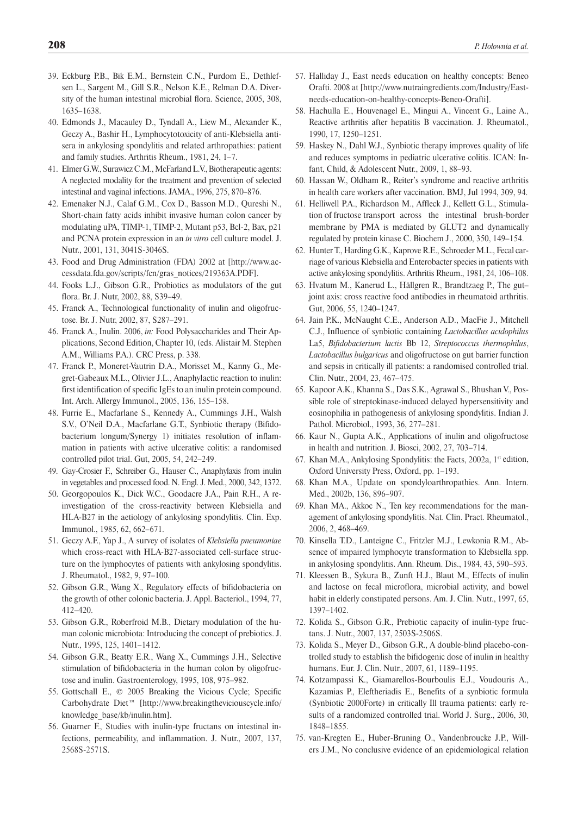- 39. Eckburg P.B., Bik E.M., Bernstein C.N., Purdom E., Dethlefsen L., Sargent M., Gill S.R., Nelson K.E., Relman D.A. Diversity of the human intestinal microbial flora. Science, 2005, 308, 1635–1638.
- 40. Edmonds J., Macauley D., Tyndall A., Liew M., Alexander K., Geczy A., Bashir H., Lymphocytotoxicity of anti-Klebsiella antisera in ankylosing spondylitis and related arthropathies: patient and family studies. Arthritis Rheum., 1981, 24, 1–7.
- 41. Elmer G.W., Surawicz C.M., McFarland L.V., Biotherapeutic agents: A neglected modality for the treatment and prevention of selected intestinal and vaginal infections. JAMA., 1996, 275, 870–876.
- 42. Emenaker N.J., Calaf G.M., Cox D., Basson M.D., Qureshi N., Short-chain fatty acids inhibit invasive human colon cancer by modulating uPA, TIMP-1, TIMP-2, Mutant p53, Bcl-2, Bax, p21 and PCNA protein expression in an *in vitro* cell culture model. J. Nutr., 2001, 131, 3041S-3046S.
- 43. Food and Drug Administration (FDA) 2002 at [http://www.accessdata.fda.gov/scripts/fcn/gras\_notices/219363A.PDF].
- 44. Fooks L.J., Gibson G.R., Probiotics as modulators of the gut flora. Br. J. Nutr, 2002, 88, S39–49.
- 45. Franck A., Technological functionality of inulin and oligofructose. Br. J. Nutr, 2002, 87, S287–291.
- 46. Franck A., Inulin. 2006, *in:* Food Polysaccharides and Their Applications, Second Edition, Chapter 10, (eds. Alistair M. Stephen A.M., Williams P.A.). CRC Press, p. 338.
- 47. Franck P., Moneret-Vautrin D.A., Morisset M., Kanny G., Megret-Gabeaux M.L., Olivier J.L., Anaphylactic reaction to inulin: first identification of specific IgEs to an inulin protein compound. Int. Arch. Allergy Immunol., 2005, 136, 155–158.
- 48. Furrie E., Macfarlane S., Kennedy A., Cummings J.H., Walsh S.V., O'Neil D.A., Macfarlane G.T., Synbiotic therapy (Bifidobacterium longum/Synergy 1) initiates resolution of inflammation in patients with active ulcerative colitis: a randomised controlled pilot trial. Gut, 2005, 54, 242–249.
- 49. Gay-Crosier F., Schreiber G., Hauser C., Anaphylaxis from inulin in vegetables and processed food. N. Engl. J. Med., 2000, 342, 1372.
- 50. Georgopoulos K., Dick W.C., Goodacre J.A., Pain R.H., A reinvestigation of the cross-reactivity between Klebsiella and HLA-B27 in the aetiology of ankylosing spondylitis. Clin. Exp. Immunol., 1985, 62, 662–671.
- 51. Geczy A.F., Yap J., A survey of isolates of *Klebsiella pneumoniae* which cross-react with HLA-B27-associated cell-surface structure on the lymphocytes of patients with ankylosing spondylitis. J. Rheumatol., 1982, 9, 97–100.
- 52. Gibson G.R., Wang X., Regulatory effects of bifidobacteria on the growth of other colonic bacteria. J. Appl. Bacteriol., 1994, 77, 412–420.
- 53. Gibson G.R., Roberfroid M.B., Dietary modulation of the human colonic microbiota: Introducing the concept of prebiotics. J. Nutr., 1995, 125, 1401–1412.
- 54. Gibson G.R., Beatty E.R., Wang X., Cummings J.H., Selective stimulation of bifidobacteria in the human colon by oligofructose and inulin. Gastroenterology, 1995, 108, 975–982.
- 55. Gottschall E., © 2005 Breaking the Vicious Cycle; Specific Carbohydrate Diet™ [http://www.breakingtheviciouscycle.info/ knowledge\_base/kb/inulin.htm].
- 56. Guarner F., Studies with inulin-type fructans on intestinal infections, permeability, and inflammation. J. Nutr., 2007, 137, 2568S-2571S.
- 57. Halliday J., East needs education on healthy concepts: Beneo Orafti. 2008 at [http://www.nutraingredients.com/Industry/Eastneeds-education-on-healthy-concepts-Beneo-Orafti].
- 58. Hachulla E., Houvenagel E., Mingui A., Vincent G., Laine A., Reactive arthritis after hepatitis B vaccination. J. Rheumatol., 1990, 17, 1250–1251.
- 59. Haskey N., Dahl W.J., Synbiotic therapy improves quality of life and reduces symptoms in pediatric ulcerative colitis. ICAN: Infant, Child, & Adolescent Nutr., 2009, 1, 88–93.
- 60. Hassan W., Oldham R., Reiter's syndrome and reactive arthritis in health care workers after vaccination. BMJ, Jul 1994, 309, 94.
- 61. Helliwell P.A., Richardson M., Affleck J., Kellett G.L., Stimulation of fructose transport across the intestinal brush-border membrane by PMA is mediated by GLUT2 and dynamically regulated by protein kinase C. Biochem J., 2000, 350, 149–154.
- 62. Hunter T., Harding G.K., Kaprove R.E., Schroeder M.L., Fecal carriage of various Klebsiella and Enterobacter species in patients with active ankylosing spondylitis. Arthritis Rheum., 1981, 24, 106–108.
- 63. Hvatum M., Kanerud L., Hällgren R., Brandtzaeg P., The gut– joint axis: cross reactive food antibodies in rheumatoid arthritis. Gut, 2006, 55, 1240–1247.
- 64. Jain P.K., McNaught C.E., Anderson A.D., MacFie J., Mitchell C.J., Influence of synbiotic containing *Lactobacillus acidophilus* La5, *Bifidobacterium lactis* Bb 12, *Streptococcus thermophilus*, *Lactobacillus bulgaricus* and oligofructose on gut barrier function and sepsis in critically ill patients: a randomised controlled trial. Clin. Nutr., 2004, 23, 467–475.
- 65. Kapoor A.K., Khanna S., Das S.K., Agrawal S., Bhushan V., Possible role of streptokinase-induced delayed hypersensitivity and eosinophilia in pathogenesis of ankylosing spondylitis. Indian J. Pathol. Microbiol., 1993, 36, 277–281.
- 66. Kaur N., Gupta A.K., Applications of inulin and oligofructose in health and nutrition. J. Biosci, 2002, 27, 703–714.
- 67. Khan M.A., Ankylosing Spondylitis: the Facts, 2002a, 1st edition, Oxford University Press, Oxford, pp. 1–193.
- 68. Khan M.A., Update on spondyloarthropathies. Ann. Intern. Med., 2002b, 136, 896–907.
- 69. Khan MA., Akkoc N., Ten key recommendations for the management of ankylosing spondylitis. Nat. Clin. Pract. Rheumatol., 2006, 2, 468–469.
- 70. Kinsella T.D., Lanteigne C., Fritzler M.J., Lewkonia R.M., Absence of impaired lymphocyte transformation to Klebsiella spp. in ankylosing spondylitis. Ann. Rheum. Dis., 1984, 43, 590–593.
- 71. Kleessen B., Sykura B., Zunft H.J., Blaut M., Effects of inulin and lactose on fecal microflora, microbial activity, and bowel habit in elderly constipated persons. Am. J. Clin. Nutr., 1997, 65, 1397–1402.
- 72. Kolida S., Gibson G.R., Prebiotic capacity of inulin-type fructans. J. Nutr., 2007, 137, 2503S-2506S.
- 73. Kolida S., Meyer D., Gibson G.R., A double-blind placebo-controlled study to establish the bifidogenic dose of inulin in healthy humans. Eur. J. Clin. Nutr., 2007, 61, 1189–1195.
- 74. Kotzampassi K., Giamarellos-Bourboulis E.J., Voudouris A., Kazamias P., Eleftheriadis E., Benefits of a synbiotic formula (Synbiotic 2000Forte) in critically Ill trauma patients: early results of a randomized controlled trial. World J. Surg., 2006, 30, 1848–1855.
- 75. van-Kregten E., Huber-Bruning O., Vandenbroucke J.P., Willers J.M., No conclusive evidence of an epidemiological relation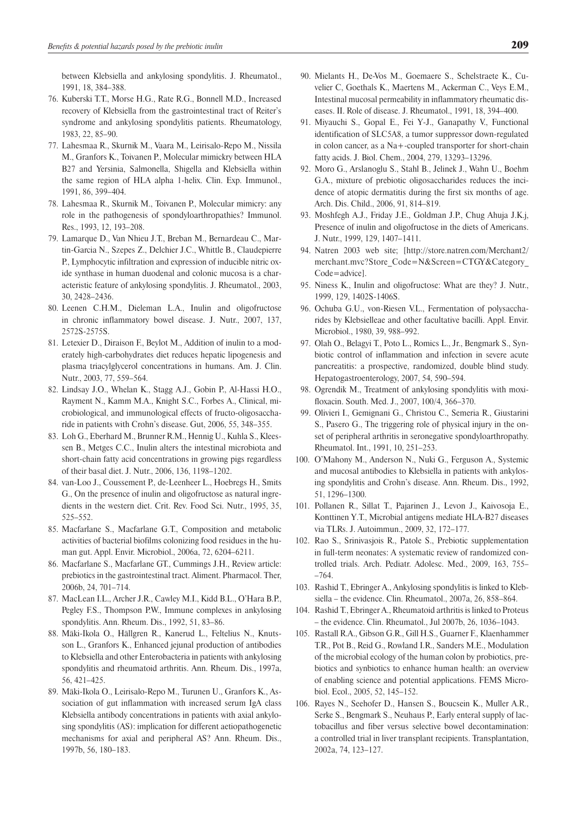between Klebsiella and ankylosing spondylitis. J. Rheumatol., 1991, 18, 384–388.

- 76. Kuberski T.T., Morse H.G., Rate R.G., Bonnell M.D., Increased recovery of Klebsiella from the gastrointestinal tract of Reiter's syndrome and ankylosing spondylitis patients. Rheumatology, 1983, 22, 85–90.
- 77. Lahesmaa R., Skurnik M., Vaara M., Leirisalo-Repo M., Nissila M., Granfors K., Toivanen P., Molecular mimickry between HLA B27 and Yersinia, Salmonella, Shigella and Klebsiella within the same region of HLA alpha 1-helix. Clin. Exp. Immunol., 1991, 86, 399–404.
- 78. Lahesmaa R., Skurnik M., Toivanen P., Molecular mimicry: any role in the pathogenesis of spondyloarthropathies? Immunol. Res., 1993, 12, 193–208.
- 79. Lamarque D., Van Nhieu J.T., Breban M., Bernardeau C., Martin-Garcia N., Szepes Z., Delchier J.C., Whittle B., Claudepierre P., Lymphocytic infiltration and expression of inducible nitric oxide synthase in human duodenal and colonic mucosa is a characteristic feature of ankylosing spondylitis. J. Rheumatol., 2003, 30, 2428–2436.
- 80. Leenen C.H.M., Dieleman L.A., Inulin and oligofructose in chronic inflammatory bowel disease. J. Nutr., 2007, 137, 2572S-2575S.
- 81. Letexier D., Diraison F., Beylot M., Addition of inulin to a moderately high-carbohydrates diet reduces hepatic lipogenesis and plasma triacylglycerol concentrations in humans. Am. J. Clin. Nutr., 2003, 77, 559–564.
- 82. Lindsay J.O., Whelan K., Stagg A.J., Gobin P., Al-Hassi H.O., Rayment N., Kamm M.A., Knight S.C., Forbes A., Clinical, microbiological, and immunological effects of fructo-oligosaccharide in patients with Crohn's disease. Gut, 2006, 55, 348–355.
- 83. Loh G., Eberhard M., Brunner R.M., Hennig U., Kuhla S., Kleessen B., Metges C.C., Inulin alters the intestinal microbiota and short-chain fatty acid concentrations in growing pigs regardless of their basal diet. J. Nutr., 2006, 136, 1198–1202.
- 84. van-Loo J., Coussement P., de-Leenheer L., Hoebregs H., Smits G., On the presence of inulin and oligofructose as natural ingredients in the western diet. Crit. Rev. Food Sci. Nutr., 1995, 35, 525–552.
- 85. Macfarlane S., Macfarlane G.T., Composition and metabolic activities of bacterial biofilms colonizing food residues in the human gut. Appl. Envir. Microbiol., 2006a, 72, 6204–6211.
- 86. Macfarlane S., Macfarlane GT., Cummings J.H., Review article: prebiotics in the gastrointestinal tract. Aliment. Pharmacol. Ther, 2006b, 24, 701–714.
- 87. MacLean I.L., Archer J.R., Cawley M.I., Kidd B.L., O'Hara B.P., Pegley F.S., Thompson P.W., Immune complexes in ankylosing spondylitis. Ann. Rheum. Dis., 1992, 51, 83–86.
- 88. Mäki-Ikola O., Hällgren R., Kanerud L., Feltelius N., Knutsson L., Granfors K., Enhanced jejunal production of antibodies to Klebsiella and other Enterobacteria in patients with ankylosing spondylitis and rheumatoid arthritis. Ann. Rheum. Dis., 1997a, 56, 421–425.
- 89. Mäki-Ikola O., Leirisalo-Repo M., Turunen U., Granfors K., Association of gut inflammation with increased serum IgA class Klebsiella antibody concentrations in patients with axial ankylosing spondylitis (AS): implication for different aetiopathogenetic mechanisms for axial and peripheral AS? Ann. Rheum. Dis., 1997b, 56, 180–183.
- 90. Mielants H., De-Vos M., Goemaere S., Schelstraete K., Cuvelier C, Goethals K., Maertens M., Ackerman C., Veys E.M., Intestinal mucosal permeability in inflammatory rheumatic diseases. II. Role of disease. J. Rheumatol., 1991, 18, 394–400.
- 91. Miyauchi S., Gopal E., Fei Y-J., Ganapathy V., Functional identification of SLC5A8, a tumor suppressor down-regulated in colon cancer, as a Na+-coupled transporter for short-chain fatty acids. J. Biol. Chem., 2004, 279, 13293–13296.
- 92. Moro G., Arslanoglu S., Stahl B., Jelinek J., Wahn U., Boehm G.A., mixture of prebiotic oligosaccharides reduces the incidence of atopic dermatitis during the first six months of age. Arch. Dis. Child., 2006, 91, 814–819.
- 93. Moshfegh A.J., Friday J.E., Goldman J.P., Chug Ahuja J.K.j, Presence of inulin and oligofructose in the diets of Americans. J. Nutr., 1999, 129, 1407–1411.
- 94. Natren 2003 web site; [http://store.natren.com/Merchant2/ merchant.mvc?Store\_Code=N&Screen=CTGY&Category\_ Code=advice].
- 95. Niness K., Inulin and oligofructose: What are they? J. Nutr., 1999, 129, 1402S-1406S.
- 96. Ochuba G.U., von-Riesen V.L., Fermentation of polysaccharides by Klebsielleae and other facultative bacilli. Appl. Envir. Microbiol., 1980, 39, 988–992.
- 97. Olah O., Belagyi T., Poto L., Romics L., Jr., Bengmark S., Synbiotic control of inflammation and infection in severe acute pancreatitis: a prospective, randomized, double blind study. Hepatogastroenterology, 2007, 54, 590–594.
- 98. Ogrendik M., Treatment of ankylosing spondylitis with moxifloxacin. South. Med. J., 2007, 100/4, 366–370.
- 99. Olivieri I., Gemignani G., Christou C., Semeria R., Giustarini S., Pasero G., The triggering role of physical injury in the onset of peripheral arthritis in seronegative spondyloarthropathy. Rheumatol. Int., 1991, 10, 251–253.
- 100. O'Mahony M., Anderson N., Nuki G., Ferguson A., Systemic and mucosal antibodies to Klebsiella in patients with ankylosing spondylitis and Crohn's disease. Ann. Rheum. Dis., 1992, 51, 1296–1300.
- 101. Pollanen R., Sillat T., Pajarinen J., Levon J., Kaivosoja E., Konttinen Y.T., Microbial antigens mediate HLA-B27 diseases via TLRs. J. Autoimmun., 2009, 32, 172–177.
- 102. Rao S., Srinivasjois R., Patole S., Prebiotic supplementation in full-term neonates: A systematic review of randomized controlled trials. Arch. Pediatr. Adolesc. Med., 2009, 163, 755– –764.
- 103. Rashid T., Ebringer A., Ankylosing spondylitis is linked to Klebsiella – the evidence. Clin. Rheumatol., 2007a, 26, 858–864.
- 104. Rashid T., Ebringer A., Rheumatoid arthritis is linked to Proteus – the evidence. Clin. Rheumatol., Jul 2007b, 26, 1036–1043.
- 105. Rastall R.A., Gibson G.R., Gill H.S., Guarner F., Klaenhammer T.R., Pot B., Reid G., Rowland I.R., Sanders M.E., Modulation of the microbial ecology of the human colon by probiotics, prebiotics and synbiotics to enhance human health: an overview of enabling science and potential applications. FEMS Microbiol. Ecol., 2005, 52, 145–152.
- 106. Rayes N., Seehofer D., Hansen S., Boucsein K., Muller A.R., Serke S., Bengmark S., Neuhaus P., Early enteral supply of lactobacillus and fiber versus selective bowel decontamination: a controlled trial in liver transplant recipients. Transplantation, 2002a, 74, 123–127.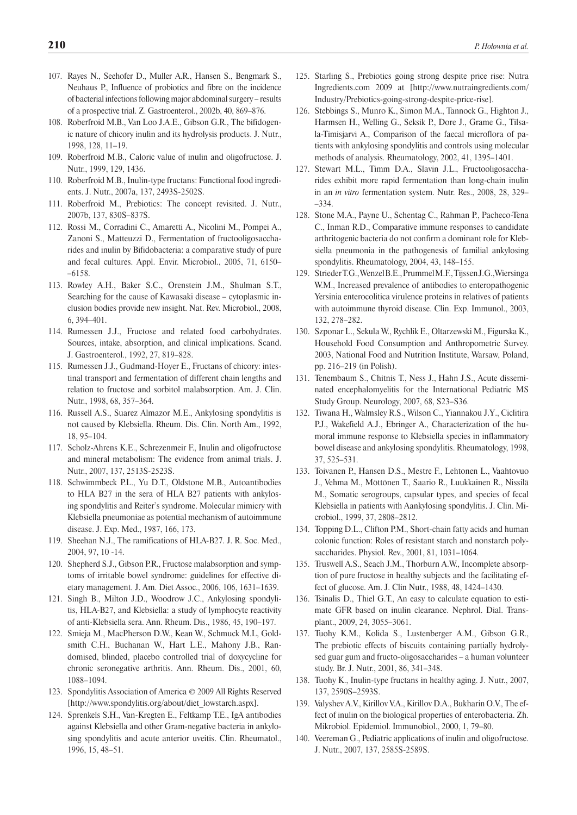- 107. Rayes N., Seehofer D., Muller A.R., Hansen S., Bengmark S., Neuhaus P., Influence of probiotics and fibre on the incidence of bacterial infections following major abdominal surgery – results of a prospective trial. Z. Gastroenterol., 2002b, 40, 869–876.
- 108. Roberfroid M.B., Van Loo J.A.E., Gibson G.R., The bifidogenic nature of chicory inulin and its hydrolysis products. J. Nutr., 1998, 128, 11–19.
- 109. Roberfroid M.B., Caloric value of inulin and oligofructose. J. Nutr., 1999, 129, 1436.
- 110. Roberfroid M.B., Inulin-type fructans: Functional food ingredients. J. Nutr., 2007a, 137, 2493S-2502S.
- 111. Roberfroid M., Prebiotics: The concept revisited. J. Nutr., 2007b, 137, 830S–837S.
- 112. Rossi M., Corradini C., Amaretti A., Nicolini M., Pompei A., Zanoni S., Matteuzzi D., Fermentation of fructooligosaccharides and inulin by Bifidobacteria: a comparative study of pure and fecal cultures. Appl. Envir. Microbiol., 2005, 71, 6150– –6158.
- 113. Rowley A.H., Baker S.C., Orenstein J.M., Shulman S.T., Searching for the cause of Kawasaki disease – cytoplasmic inclusion bodies provide new insight. Nat. Rev. Microbiol., 2008, 6, 394–401.
- 114. Rumessen J.J., Fructose and related food carbohydrates. Sources, intake, absorption, and clinical implications. Scand. J. Gastroenterol., 1992, 27, 819–828.
- 115. Rumessen J.J., Gudmand-Hoyer E., Fructans of chicory: intestinal transport and fermentation of different chain lengths and relation to fructose and sorbitol malabsorption. Am. J. Clin. Nutr., 1998, 68, 357–364.
- 116. Russell A.S., Suarez Almazor M.E., Ankylosing spondylitis is not caused by Klebsiella. Rheum. Dis. Clin. North Am., 1992, 18, 95–104.
- 117. Scholz-Ahrens K.E., Schrezenmeir F., Inulin and oligofructose and mineral metabolism: The evidence from animal trials. J. Nutr., 2007, 137, 2513S-2523S.
- 118. Schwimmbeck P.L., Yu D.T., Oldstone M.B., Autoantibodies to HLA B27 in the sera of HLA B27 patients with ankylosing spondylitis and Reiter's syndrome. Molecular mimicry with Klebsiella pneumoniae as potential mechanism of autoimmune disease. J. Exp. Med., 1987, 166, 173.
- 119. Sheehan N.J., The ramifications of HLA-B27. J. R. Soc. Med., 2004, 97, 10 -14.
- 120. Shepherd S.J., Gibson P.R., Fructose malabsorption and symptoms of irritable bowel syndrome: guidelines for effective dietary management. J. Am. Diet Assoc., 2006, 106, 1631–1639.
- 121. Singh B., Milton J.D., Woodrow J.C., Ankylosing spondylitis, HLA-B27, and Klebsiella: a study of lymphocyte reactivity of anti-Klebsiella sera. Ann. Rheum. Dis., 1986, 45, 190–197.
- 122. Smieja M., MacPherson D.W., Kean W., Schmuck M.L, Goldsmith C.H., Buchanan W., Hart L.E., Mahony J.B., Randomised, blinded, placebo controlled trial of doxycycline for chronic seronegative arthritis. Ann. Rheum. Dis., 2001, 60, 1088–1094.
- 123. Spondylitis Association of America © 2009 All Rights Reserved [http://www.spondylitis.org/about/diet\_lowstarch.aspx].
- 124. Sprenkels S.H., Van-Kregten E., Feltkamp T.E., IgA antibodies against Klebsiella and other Gram-negative bacteria in ankylosing spondylitis and acute anterior uveitis. Clin. Rheumatol., 1996, 15, 48–51.
- 125. Starling S., Prebiotics going strong despite price rise: Nutra Ingredients.com 2009 at [http://www.nutraingredients.com/ Industry/Prebiotics-going-strong-despite-price-rise].
- 126. Stebbings S., Munro K., Simon M.A., Tannock G., Highton J., Harmsen H., Welling G., Seksik P., Dore J., Grame G., Tilsala-Timisjarvi A., Comparison of the faecal microflora of patients with ankylosing spondylitis and controls using molecular methods of analysis. Rheumatology, 2002, 41, 1395–1401.
- 127. Stewart M.L., Timm D.A., Slavin J.L., Fructooligosaccharides exhibit more rapid fermentation than long-chain inulin in an *in vitro* fermentation system. Nutr. Res., 2008, 28, 329– –334.
- 128. Stone M.A., Payne U., Schentag C., Rahman P., Pacheco-Tena C., Inman R.D., Comparative immune responses to candidate arthritogenic bacteria do not confirm a dominant role for Klebsiella pneumonia in the pathogenesis of familial ankylosing spondylitis. Rheumatology, 2004, 43, 148–155.
- 129. Strieder T.G., Wenzel B.E., Prummel M.F., Tijssen J.G.,Wiersinga W.M., Increased prevalence of antibodies to enteropathogenic Yersinia enterocolitica virulence proteins in relatives of patients with autoimmune thyroid disease. Clin. Exp. Immunol., 2003, 132, 278–282.
- 130. Szponar L., Sekula W., Rychlik E., Oltarzewski M., Figurska K., Household Food Consumption and Anthropometric Survey. 2003, National Food and Nutrition Institute, Warsaw, Poland, pp. 216–219 (in Polish).
- 131. Tenembaum S., Chitnis T., Ness J., Hahn J.S., Acute disseminated encephalomyelitis for the International Pediatric MS Study Group. Neurology, 2007, 68, S23–S36.
- 132. Tiwana H., Walmsley R.S., Wilson C., Yiannakou J.Y., Ciclitira P.J., Wakefield A.J., Ebringer A., Characterization of the humoral immune response to Klebsiella species in inflammatory bowel disease and ankylosing spondylitis. Rheumatology, 1998, 37, 525–531.
- 133. Toivanen P., Hansen D.S., Mestre F., Lehtonen L., Vaahtovuo J., Vehma M., Möttönen T., Saario R., Luukkainen R., Nissilä M., Somatic serogroups, capsular types, and species of fecal Klebsiella in patients with Aankylosing spondylitis. J. Clin. Microbiol., 1999, 37, 2808–2812.
- 134. Topping D.L., Clifton P.M., Short-chain fatty acids and human colonic function: Roles of resistant starch and nonstarch polysaccharides. Physiol. Rev., 2001, 81, 1031–1064.
- 135. Truswell A.S., Seach J.M., Thorburn A.W., Incomplete absorption of pure fructose in healthy subjects and the facilitating effect of glucose. Am. J. Clin Nutr., 1988, 48, 1424–1430.
- 136. Tsinalis D., Thiel G.T., An easy to calculate equation to estimate GFR based on inulin clearance. Nephrol. Dial. Transplant., 2009, 24, 3055–3061.
- 137. Tuohy K.M., Kolida S., Lustenberger A.M., Gibson G.R., The prebiotic effects of biscuits containing partially hydrolysed guar gum and fructo-oligosaccharides – a human volunteer study. Br. J. Nutr., 2001, 86, 341–348.
- 138. Tuohy K., Inulin-type fructans in healthy aging. J. Nutr., 2007, 137, 2590S–2593S.
- 139. Valyshev A.V., Kirillov V.A., Kirillov D.A., Bukharin O.V., The effect of inulin on the biological properties of enterobacteria. Zh. Mikrobiol. Epidemiol. Immunobiol., 2000, 1, 79–80.
- 140. Veereman G., Pediatric applications of inulin and oligofructose. J. Nutr., 2007, 137, 2585S-2589S.